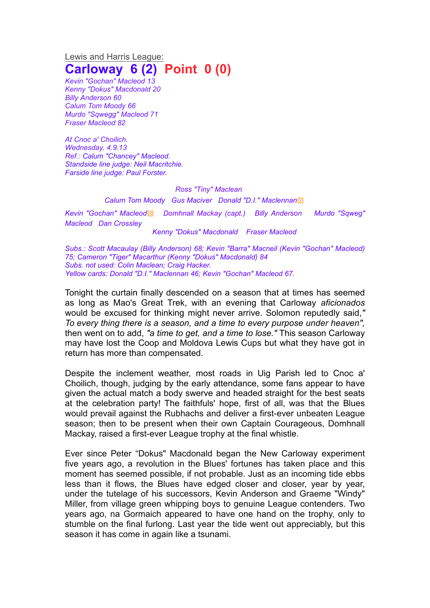Lewis and Harris League: **Carloway 6 (2) Point 0 (0)**

*Kevin "Gochan" Macleod 13 Kenny "Dokus" Macdonald 20 Billy Anderson 60 Calum Tom Moody 66 Murdo "Sqwegg" Macleod 71 Fraser Macleod 82*

*At Cnoc a' Choilich. Wednesday, 4.9.13 Ref.: Calum "Chancey" Macleod. Standside line judge: Neil Macritchie. Farside line judge: Paul Forster.*

*Ross "Tiny" Maclean*

*Calum Tom Moody Gus Maciver Donald "D.I." Maclennan*▩

*Kevin "Gochan" Macleod*▩ *Domhnall Mackay (capt.) Billy Anderson Murdo "Sqweg" Macleod Dan Crossley*

*Kenny "Dokus" Macdonald Fraser Macleod*

*Subs.: Scott Macaulay (Billy Anderson) 68; Kevin "Barra" Macneil (Kevin "Gochan" Macleod) 75; Cameron "Tiger" Macarthur (Kenny "Dokus" Macdonald) 84 Subs. not used: Colin Maclean; Craig Hacker. Yellow cards: Donald "D.I." Maclennan 46; Kevin "Gochan" Macleod 67.*

Tonight the curtain finally descended on a season that at times has seemed as long as Mao's Great Trek, with an evening that Carloway *aficionados* would be excused for thinking might never arrive. Solomon reputedly said,*" To every thing there is a season, and a time to every purpose under heaven",* then went on to add, *"a time to get, and a time to lose."* This season Carloway may have lost the Coop and Moldova Lewis Cups but what they have got in return has more than compensated.

Despite the inclement weather, most roads in Uig Parish led to Cnoc a' Choilich, though, judging by the early attendance, some fans appear to have given the actual match a body swerve and headed straight for the best seats at the celebration party! The faithfuls' hope, first of all, was that the Blues would prevail against the Rubhachs and deliver a first-ever unbeaten League season; then to be present when their own Captain Courageous, Domhnall Mackay, raised a first-ever League trophy at the final whistle.

Ever since Peter "Dokus" Macdonald began the New Carloway experiment five years ago, a revolution in the Blues' fortunes has taken place and this moment has seemed possible, if not probable. Just as an incoming tide ebbs less than it flows, the Blues have edged closer and closer, year by year, under the tutelage of his successors, Kevin Anderson and Graeme "Windy" Miller, from village green whipping boys to genuine League contenders. Two years ago, na Gormaich appeared to have one hand on the trophy, only to stumble on the final furlong. Last year the tide went out appreciably, but this season it has come in again like a tsunami.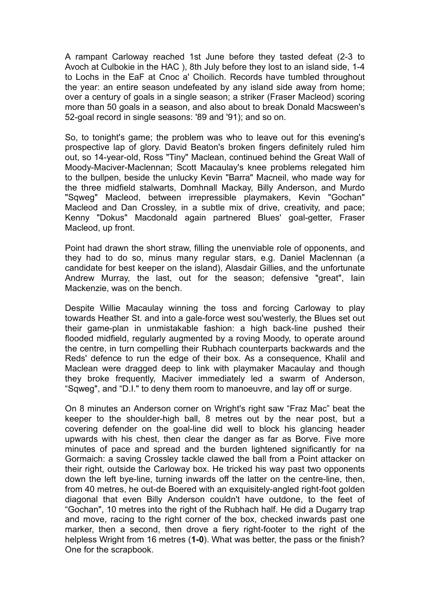A rampant Carloway reached 1st June before they tasted defeat (2-3 to Avoch at Culbokie in the HAC ), 8th July before they lost to an island side, 1-4 to Lochs in the EaF at Cnoc a' Choilich. Records have tumbled throughout the year: an entire season undefeated by any island side away from home; over a century of goals in a single season; a striker (Fraser Macleod) scoring more than 50 goals in a season, and also about to break Donald Macsween's 52-goal record in single seasons: '89 and '91); and so on.

So, to tonight's game; the problem was who to leave out for this evening's prospective lap of glory. David Beaton's broken fingers definitely ruled him out, so 14-year-old, Ross "Tiny" Maclean, continued behind the Great Wall of Moody-Maciver-Maclennan; Scott Macaulay's knee problems relegated him to the bullpen, beside the unlucky Kevin "Barra" Macneil, who made way for the three midfield stalwarts, Domhnall Mackay, Billy Anderson, and Murdo "Sqweg" Macleod, between irrepressible playmakers, Kevin "Gochan" Macleod and Dan Crossley, in a subtle mix of drive, creativity, and pace; Kenny "Dokus" Macdonald again partnered Blues' goal-getter, Fraser Macleod, up front.

Point had drawn the short straw, filling the unenviable role of opponents, and they had to do so, minus many regular stars, e.g. Daniel Maclennan (a candidate for best keeper on the island), Alasdair Gillies, and the unfortunate Andrew Murray, the last, out for the season; defensive "great", Iain Mackenzie, was on the bench.

Despite Willie Macaulay winning the toss and forcing Carloway to play towards Heather St. and into a gale-force west sou'westerly, the Blues set out their game-plan in unmistakable fashion: a high back-line pushed their flooded midfield, regularly augmented by a roving Moody, to operate around the centre, in turn compelling their Rubhach counterparts backwards and the Reds' defence to run the edge of their box. As a consequence, Khalil and Maclean were dragged deep to link with playmaker Macaulay and though they broke frequently, Maciver immediately led a swarm of Anderson, "Sqweg", and "D.I." to deny them room to manoeuvre, and lay off or surge.

On 8 minutes an Anderson corner on Wright's right saw "Fraz Mac" beat the keeper to the shoulder-high ball, 8 metres out by the near post, but a covering defender on the goal-line did well to block his glancing header upwards with his chest, then clear the danger as far as Borve. Five more minutes of pace and spread and the burden lightened significantly for na Gormaich: a saving Crossley tackle clawed the ball from a Point attacker on their right, outside the Carloway box. He tricked his way past two opponents down the left bye-line, turning inwards off the latter on the centre-line, then, from 40 metres, he out-de Boered with an exquisitely-angled right-foot golden diagonal that even Billy Anderson couldn't have outdone, to the feet of "Gochan", 10 metres into the right of the Rubhach half. He did a Dugarry trap and move, racing to the right corner of the box, checked inwards past one marker, then a second, then drove a fiery right-footer to the right of the helpless Wright from 16 metres (**1-0**). What was better, the pass or the finish? One for the scrapbook.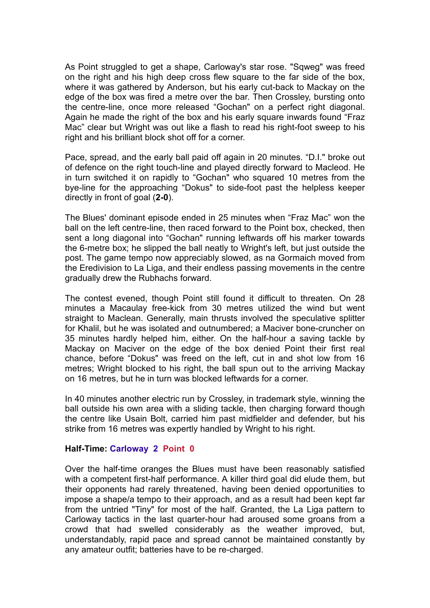As Point struggled to get a shape, Carloway's star rose. "Sqweg" was freed on the right and his high deep cross flew square to the far side of the box, where it was gathered by Anderson, but his early cut-back to Mackay on the edge of the box was fired a metre over the bar. Then Crossley, bursting onto the centre-line, once more released "Gochan" on a perfect right diagonal. Again he made the right of the box and his early square inwards found "Fraz Mac" clear but Wright was out like a flash to read his right-foot sweep to his right and his brilliant block shot off for a corner.

Pace, spread, and the early ball paid off again in 20 minutes. "D.I." broke out of defence on the right touch-line and played directly forward to Macleod. He in turn switched it on rapidly to "Gochan" who squared 10 metres from the bye-line for the approaching "Dokus" to side-foot past the helpless keeper directly in front of goal (**2-0**).

The Blues' dominant episode ended in 25 minutes when "Fraz Mac" won the ball on the left centre-line, then raced forward to the Point box, checked, then sent a long diagonal into "Gochan" running leftwards off his marker towards the 6-metre box; he slipped the ball neatly to Wright's left, but just outside the post. The game tempo now appreciably slowed, as na Gormaich moved from the Eredivision to La Liga, and their endless passing movements in the centre gradually drew the Rubhachs forward.

The contest evened, though Point still found it difficult to threaten. On 28 minutes a Macaulay free-kick from 30 metres utilized the wind but went straight to Maclean. Generally, main thrusts involved the speculative splitter for Khalil, but he was isolated and outnumbered; a Maciver bone-cruncher on 35 minutes hardly helped him, either. On the half-hour a saving tackle by Mackay on Maciver on the edge of the box denied Point their first real chance, before "Dokus" was freed on the left, cut in and shot low from 16 metres; Wright blocked to his right, the ball spun out to the arriving Mackay on 16 metres, but he in turn was blocked leftwards for a corner.

In 40 minutes another electric run by Crossley, in trademark style, winning the ball outside his own area with a sliding tackle, then charging forward though the centre like Usain Bolt, carried him past midfielder and defender, but his strike from 16 metres was expertly handled by Wright to his right.

## **Half-Time: Carloway 2 Point 0**

Over the half-time oranges the Blues must have been reasonably satisfied with a competent first-half performance. A killer third goal did elude them, but their opponents had rarely threatened, having been denied opportunities to impose a shape/a tempo to their approach, and as a result had been kept far from the untried "Tiny" for most of the half. Granted, the La Liga pattern to Carloway tactics in the last quarter-hour had aroused some groans from a crowd that had swelled considerably as the weather improved, but, understandably, rapid pace and spread cannot be maintained constantly by any amateur outfit; batteries have to be re-charged.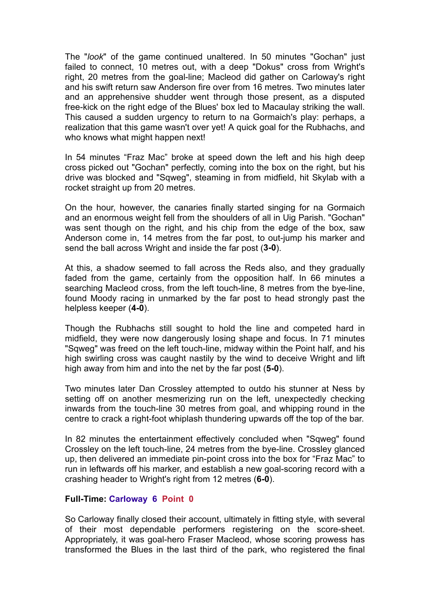The "*look*" of the game continued unaltered. In 50 minutes "Gochan" just failed to connect, 10 metres out, with a deep "Dokus" cross from Wright's right, 20 metres from the goal-line; Macleod did gather on Carloway's right and his swift return saw Anderson fire over from 16 metres. Two minutes later and an apprehensive shudder went through those present, as a disputed free-kick on the right edge of the Blues' box led to Macaulay striking the wall. This caused a sudden urgency to return to na Gormaich's play: perhaps, a realization that this game wasn't over yet! A quick goal for the Rubhachs, and who knows what might happen next!

In 54 minutes "Fraz Mac" broke at speed down the left and his high deep cross picked out "Gochan" perfectly, coming into the box on the right, but his drive was blocked and "Sqweg", steaming in from midfield, hit Skylab with a rocket straight up from 20 metres.

On the hour, however, the canaries finally started singing for na Gormaich and an enormous weight fell from the shoulders of all in Uig Parish. "Gochan" was sent though on the right, and his chip from the edge of the box, saw Anderson come in, 14 metres from the far post, to out-jump his marker and send the ball across Wright and inside the far post (**3-0**).

At this, a shadow seemed to fall across the Reds also, and they gradually faded from the game, certainly from the opposition half. In 66 minutes a searching Macleod cross, from the left touch-line, 8 metres from the bye-line, found Moody racing in unmarked by the far post to head strongly past the helpless keeper (**4-0**).

Though the Rubhachs still sought to hold the line and competed hard in midfield, they were now dangerously losing shape and focus. In 71 minutes "Sqweg" was freed on the left touch-line, midway within the Point half, and his high swirling cross was caught nastily by the wind to deceive Wright and lift high away from him and into the net by the far post (**5-0**).

Two minutes later Dan Crossley attempted to outdo his stunner at Ness by setting off on another mesmerizing run on the left, unexpectedly checking inwards from the touch-line 30 metres from goal, and whipping round in the centre to crack a right-foot whiplash thundering upwards off the top of the bar.

In 82 minutes the entertainment effectively concluded when "Sqweg" found Crossley on the left touch-line, 24 metres from the bye-line. Crossley glanced up, then delivered an immediate pin-point cross into the box for "Fraz Mac" to run in leftwards off his marker, and establish a new goal-scoring record with a crashing header to Wright's right from 12 metres (**6-0**).

## **Full-Time: Carloway 6 Point 0**

So Carloway finally closed their account, ultimately in fitting style, with several of their most dependable performers registering on the score-sheet. Appropriately, it was goal-hero Fraser Macleod, whose scoring prowess has transformed the Blues in the last third of the park, who registered the final